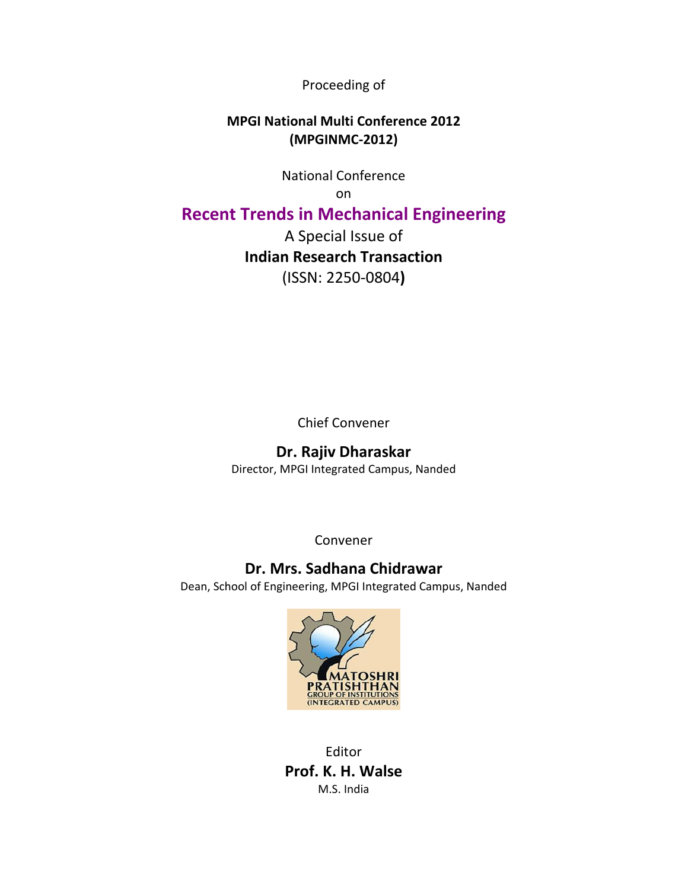Proceeding of

# **MPGI National Multi Conference 2012 (MPGINMC‐2012)**

National Conference

on

# **Recent Trends in Mechanical Engineering**

A Special Issue of **Indian Research Transaction**  (ISSN: 2250‐0804**)**

Chief Convener

# **Dr. Rajiv Dharaskar**

Director, MPGI Integrated Campus, Nanded

Convener

# **Dr. Mrs. Sadhana Chidrawar**

Dean, School of Engineering, MPGI Integrated Campus, Nanded



Editor **Prof. K. H. Walse** M.S. India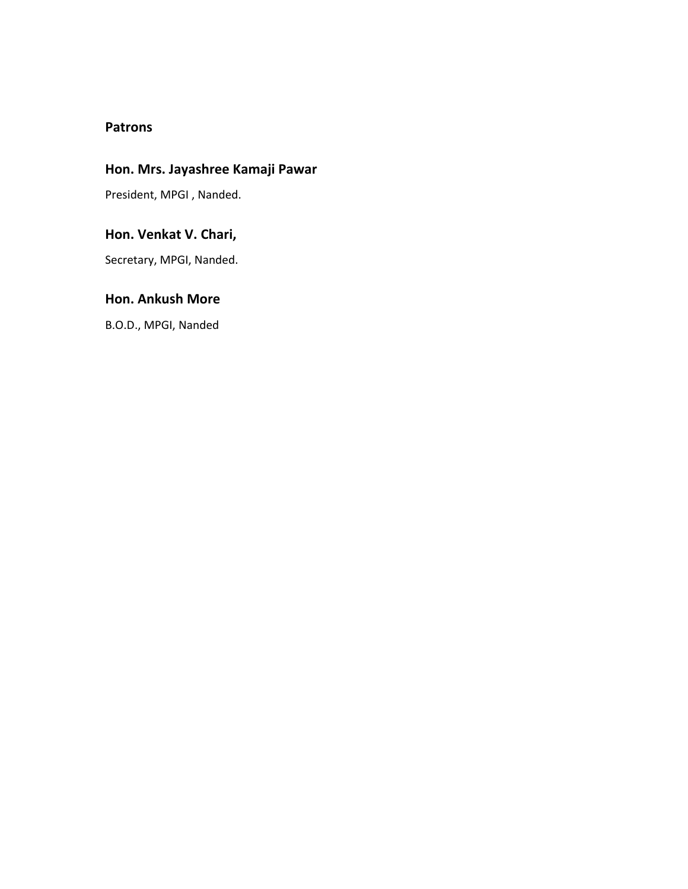## **Patrons**

# **Hon. Mrs. Jayashree Kamaji Pawar**

President, MPGI , Nanded.

# **Hon. Venkat V. Chari,**

Secretary, MPGI, Nanded.

# **Hon. Ankush More**

B.O.D., MPGI, Nanded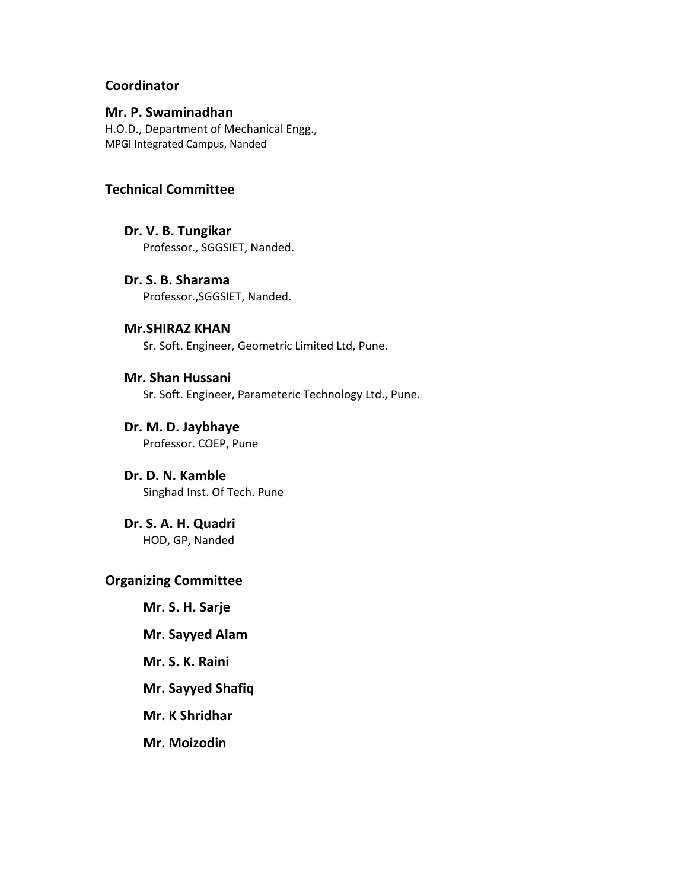## **Coordinator**

#### **Mr. P. Swaminadhan**

H.O.D., Department of Mechanical Engg., MPGI Integrated Campus, Nanded

#### **Technical Committee**

- **Dr. V. B. Tungikar** Professor., SGGSIET, Nanded.
- **Dr. S. B. Sharama** Professor.,SGGSIET, Nanded.

### **Mr.SHIRAZ KHAN** Sr. Soft. Engineer, Geometric Limited Ltd, Pune.

**Mr. Shan Hussani** Sr. Soft. Engineer, Parameteric Technology Ltd., Pune.

**Dr. M. D. Jaybhaye** Professor. COEP, Pune

**Dr. D. N. Kamble** Singhad Inst. Of Tech. Pune

**Dr. S. A. H. Quadri** HOD, GP, Nanded

# **Organizing Committee**

**Mr. S. H. Sarje**

- **Mr. Sayyed Alam**
- **Mr. S. K. Raini**
- **Mr. Sayyed Shafiq**
- **Mr. K Shridhar**
- **Mr. Moizodin**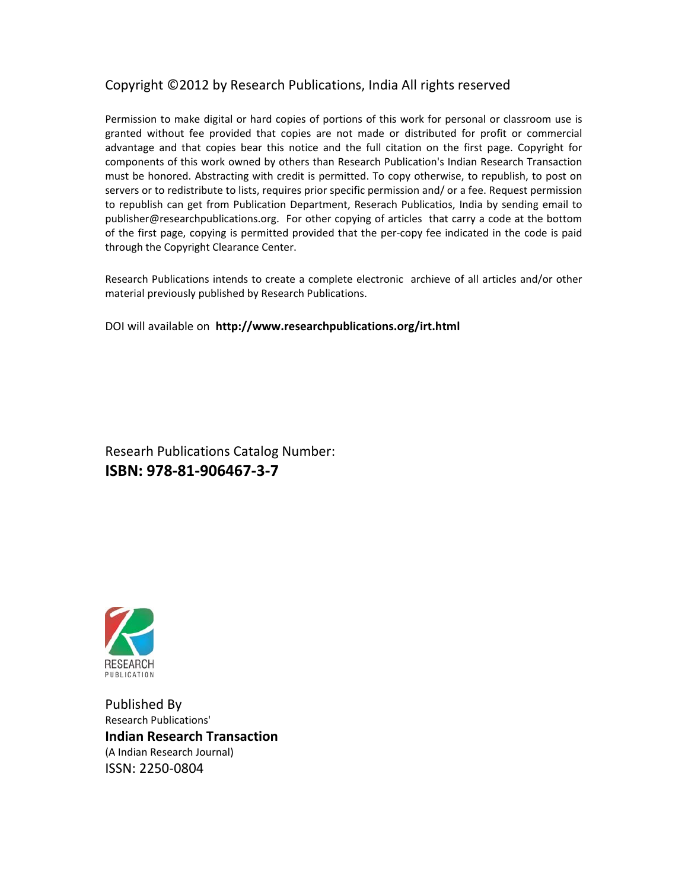# Copyright ©2012 by Research Publications, India All rights reserved

Permission to make digital or hard copies of portions of this work for personal or classroom use is granted without fee provided that copies are not made or distributed for profit or commercial advantage and that copies bear this notice and the full citation on the first page. Copyright for components of this work owned by others than Research Publication's Indian Research Transaction must be honored. Abstracting with credit is permitted. To copy otherwise, to republish, to post on servers or to redistribute to lists, requires prior specific permission and/ or a fee. Request permission to republish can get from Publication Department, Reserach Publicatios, India by sending email to publisher@researchpublications.org. For other copying of articles that carry a code at the bottom of the first page, copying is permitted provided that the per-copy fee indicated in the code is paid through the Copyright Clearance Center.

Research Publications intends to create a complete electronic archieve of all articles and/or other material previously published by Research Publications.

DOI will available on **http://www.researchpublications.org/irt.html** 

Researh Publications Catalog Number: **ISBN: 978‐81‐906467‐3‐7** 



Published By Research Publications' **Indian Research Transaction**  (A Indian Research Journal) ISSN: 2250‐0804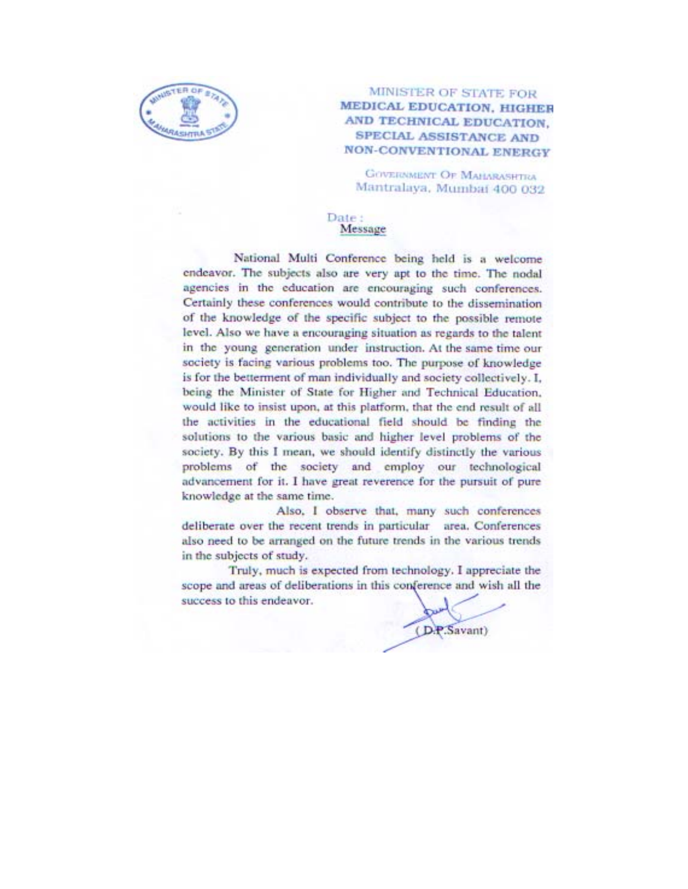

#### MINISTER OF STATE FOR MEDICAL EDUCATION, HIGHER AND TECHNICAL EDUCATION. **SPECIAL ASSISTANCE AND NON-CONVENTIONAL ENERGY**

**GOVERNMENT OF MAHARASHTRA** Mantralaya, Mumbai 400 032

#### Date: Message

National Multi Conference being held is a welcome endeavor. The subjects also are very apt to the time. The nodal agencies in the education are encouraging such conferences. Certainly these conferences would contribute to the dissemination of the knowledge of the specific subject to the possible remote level. Also we have a encouraging situation as regards to the talent in the young generation under instruction. At the same time our society is facing various problems too. The purpose of knowledge is for the betterment of man individually and society collectively. I. being the Minister of State for Higher and Technical Education, would like to insist upon, at this platform, that the end result of all the activities in the educational field should be finding the solutions to the various basic and higher level problems of the society. By this I mean, we should identify distinctly the various problems of the society and employ our technological advancement for it. I have great reverence for the pursuit of pure knowledge at the same time.

Also, I observe that, many such conferences deliberate over the recent trends in particular area. Conferences also need to be arranged on the future trends in the various trends in the subjects of study.

Truly, much is expected from technology. I appreciate the scope and areas of deliberations in this conference and wish all the success to this endeavor.

(D.P.Savant)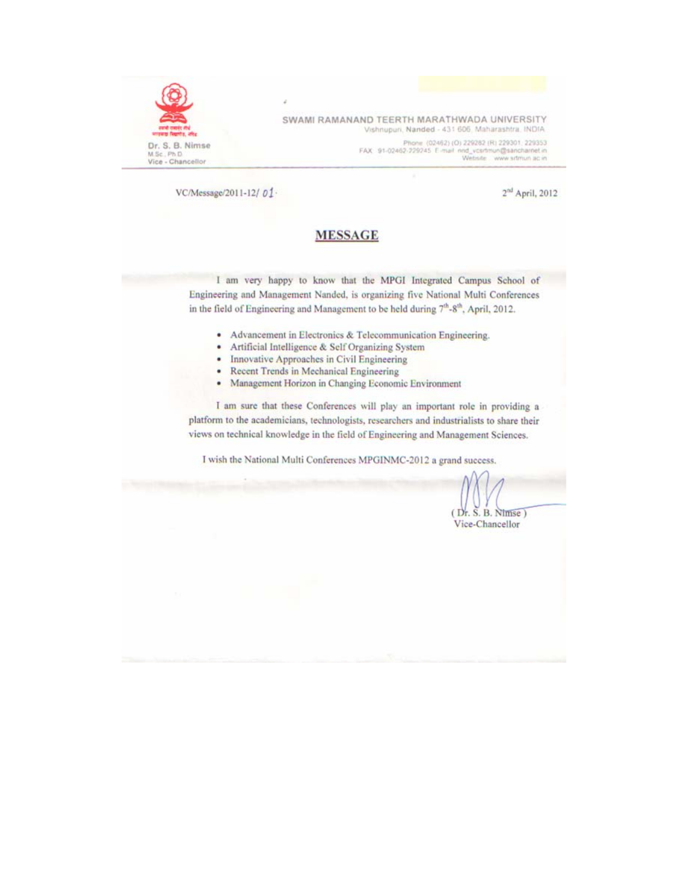

SWAMI RAMANAND TEERTH MARATHWADA UNIVERSITY Vishnupuri, Nanded - 431 606, Maharashtra, INDIA.

> Phone (02462) (O) 229282 (R) 229301, 229353 FAX 91-02462-229245 E-mail nnd\_vcsrtmun@sancharnet.in<br>Website www.srtmun.ac.in

VC/Message/2011-12/01-

 $2^{nd}$  April, 2012

### **MESSAGE**

I am very happy to know that the MPGI Integrated Campus School of Engineering and Management Nanded, is organizing five National Multi Conferences in the field of Engineering and Management to be held during 7th-8th, April, 2012.

- Advancement in Electronics & Telecommunication Engineering. ٠
- Artificial Intelligence & Self Organizing System  $\bullet$
- Innovative Approaches in Civil Engineering  $\bullet$
- Recent Trends in Mechanical Engineering ٠
- Management Horizon in Changing Economic Environment ٠

I am sure that these Conferences will play an important role in providing a platform to the academicians, technologists, researchers and industrialists to share their views on technical knowledge in the field of Engineering and Management Sciences.

I wish the National Multi Conferences MPGINMC-2012 a grand success.

 $(Dr. S. B. Ntmse)$ Vice-Chancellor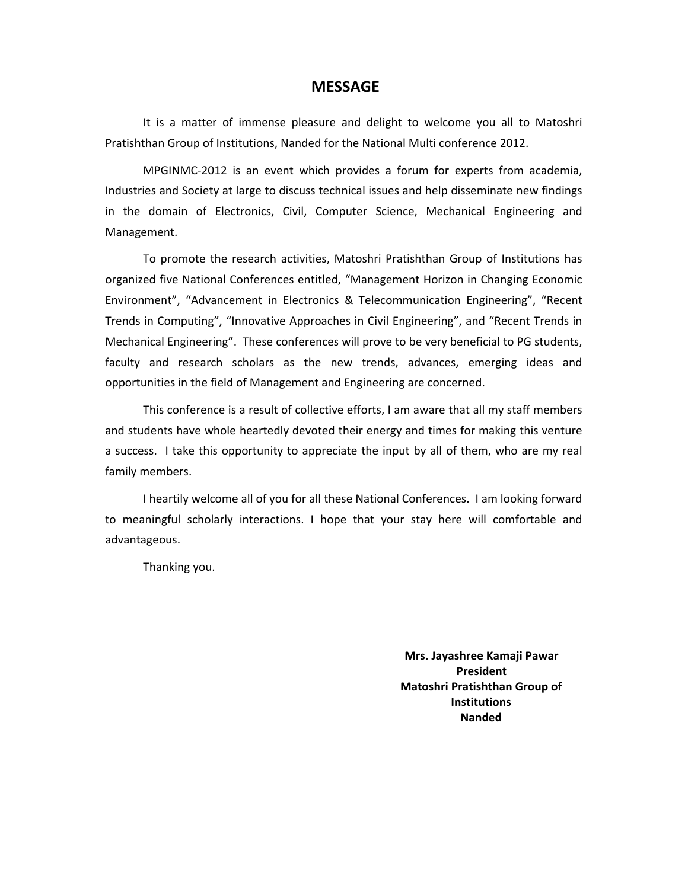#### **MESSAGE**

It is a matter of immense pleasure and delight to welcome you all to Matoshri Pratishthan Group of Institutions, Nanded for the National Multi conference 2012.

MPGINMC‐2012 is an event which provides a forum for experts from academia, Industries and Society at large to discuss technical issues and help disseminate new findings in the domain of Electronics, Civil, Computer Science, Mechanical Engineering and Management.

To promote the research activities, Matoshri Pratishthan Group of Institutions has organized five National Conferences entitled, "Management Horizon in Changing Economic Environment", "Advancement in Electronics & Telecommunication Engineering", "Recent Trends in Computing", "Innovative Approaches in Civil Engineering", and "Recent Trends in Mechanical Engineering". These conferences will prove to be very beneficial to PG students, faculty and research scholars as the new trends, advances, emerging ideas and opportunities in the field of Management and Engineering are concerned.

This conference is a result of collective efforts, I am aware that all my staff members and students have whole heartedly devoted their energy and times for making this venture a success. I take this opportunity to appreciate the input by all of them, who are my real family members.

I heartily welcome all of you for all these National Conferences. I am looking forward to meaningful scholarly interactions. I hope that your stay here will comfortable and advantageous.

Thanking you.

**Mrs. Jayashree Kamaji Pawar President Matoshri Pratishthan Group of Institutions Nanded**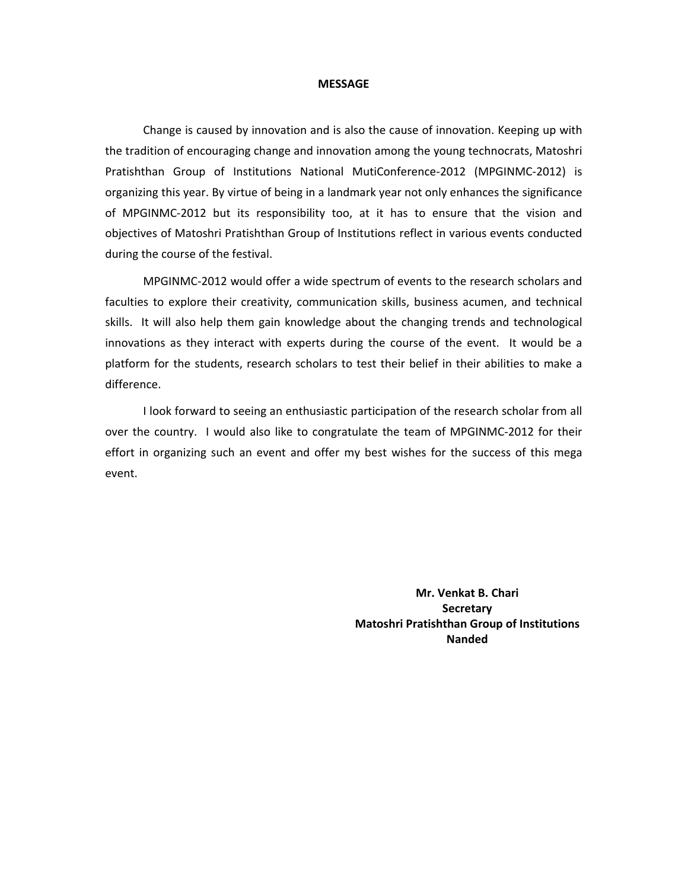#### **MESSAGE**

Change is caused by innovation and is also the cause of innovation. Keeping up with the tradition of encouraging change and innovation among the young technocrats, Matoshri Pratishthan Group of Institutions National MutiConference‐2012 (MPGINMC‐2012) is organizing this year. By virtue of being in a landmark year not only enhances the significance of MPGINMC‐2012 but its responsibility too, at it has to ensure that the vision and objectives of Matoshri Pratishthan Group of Institutions reflect in various events conducted during the course of the festival.

MPGINMC‐2012 would offer a wide spectrum of events to the research scholars and faculties to explore their creativity, communication skills, business acumen, and technical skills. It will also help them gain knowledge about the changing trends and technological innovations as they interact with experts during the course of the event. It would be a platform for the students, research scholars to test their belief in their abilities to make a difference.

I look forward to seeing an enthusiastic participation of the research scholar from all over the country. I would also like to congratulate the team of MPGINMC-2012 for their effort in organizing such an event and offer my best wishes for the success of this mega event.

> **Mr. Venkat B. Chari Secretary Matoshri Pratishthan Group of Institutions Nanded**